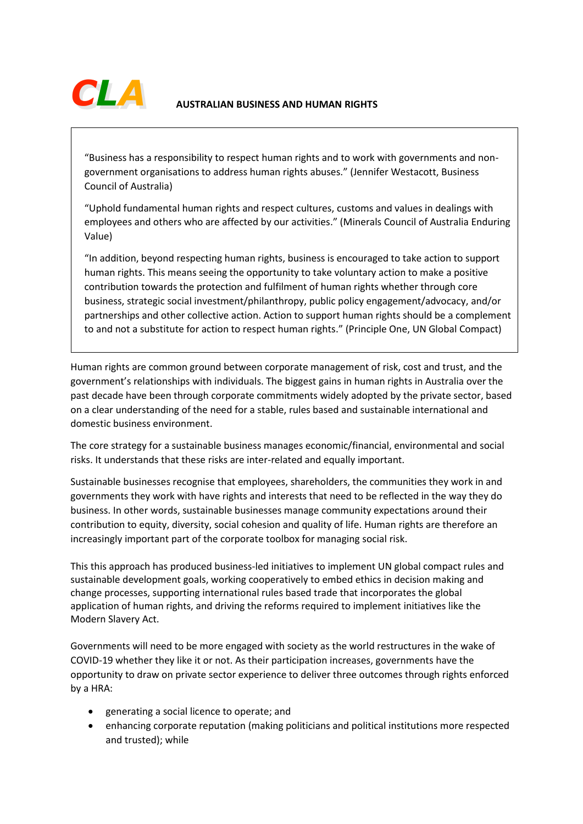

"Business has a responsibility to respect human rights and to work with governments and nongovernment organisations to address human rights abuses." (Jennifer Westacott, Business Council of Australia)

"Uphold fundamental human rights and respect cultures, customs and values in dealings with employees and others who are affected by our activities." (Minerals Council of Australia Enduring Value)

"In addition, beyond respecting human rights, business is encouraged to take action to support human rights. This means seeing the opportunity to take voluntary action to make a positive contribution towards the protection and fulfilment of human rights whether through core business, strategic social investment/philanthropy, public policy engagement/advocacy, and/or partnerships and other collective action. Action to support human rights should be a complement to and not a substitute for action to respect human rights." (Principle One, UN Global Compact)

Human rights are common ground between corporate management of risk, cost and trust, and the government's relationships with individuals. The biggest gains in human rights in Australia over the past decade have been through corporate commitments widely adopted by the private sector, based on a clear understanding of the need for a stable, rules based and sustainable international and domestic business environment.

The core strategy for a sustainable business manages economic/financial, environmental and social risks. It understands that these risks are inter-related and equally important.

Sustainable businesses recognise that employees, shareholders, the communities they work in and governments they work with have rights and interests that need to be reflected in the way they do business. In other words, sustainable businesses manage community expectations around their contribution to equity, diversity, social cohesion and quality of life. Human rights are therefore an increasingly important part of the corporate toolbox for managing social risk.

This this approach has produced business-led initiatives to implement UN global compact rules and sustainable development goals, working cooperatively to embed ethics in decision making and change processes, supporting international rules based trade that incorporates the global application of human rights, and driving the reforms required to implement initiatives like the Modern Slavery Act.

Governments will need to be more engaged with society as the world restructures in the wake of COVID-19 whether they like it or not. As their participation increases, governments have the opportunity to draw on private sector experience to deliver three outcomes through rights enforced by a HRA:

- generating a social licence to operate; and
- enhancing corporate reputation (making politicians and political institutions more respected and trusted); while